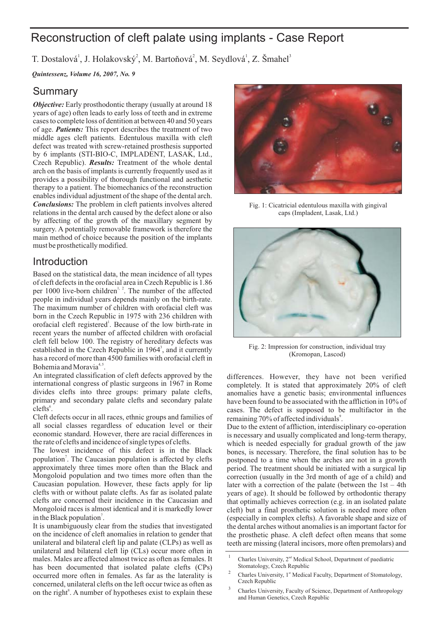# Reconstruction of cleft palate using implants - Case Report

T. Dostalová<sup>1</sup>, J. Holakovský<sup>2</sup>, M. Bartoňová<sup>2</sup>, M. Seydlová<sup>1</sup>, Z. Šmahel<sup>3</sup>

*Quintessenz, Volume 16, 2007, No. 9*

### Summary

**Objective:** Early prosthodontic therapy (usually at around 18 of age. Patients: This report describes the treatment of two Czech Republic). *Results:* Treatment of the whole dental *Conclusions:* The problem in cleft patients involves altered years of age) often leads to early loss of teeth and in extreme cases to complete loss of dentition at between 40 and 50 years middle ages cleft patients. Edentulous maxilla with cleft defect was treated with screw-retained prosthesis supported by 6 implants (STI-BIO-C, IMPLADENT, LASAK, Ltd., arch on the basis of implants is currently frequently used as it provides a possibility of thorough functional and aesthetic therapy to a patient. The biomechanics of the reconstruction enables individual adjustment of the shape of the dental arch. relations in the dental arch caused by the defect alone or also by affecting of the growth of the maxillary segment by surgery. A potentially removable framework is therefore the main method of choice because the position of the implants must be prosthetically modified.

## Introduction

Based on the statistical data, the mean incidence of all types of cleft defects in the orofacial area in Czech Republic is 1.86 per 1000 live-born children<sup> $1, 2$ </sup>. The number of the affected people in individual years depends mainly on the birth-rate. The maximum number of children with orofacial cleft was born in the Czech Republic in 1975 with 236 children with orofacial cleft registered<sup>1</sup>. Because of the low birth-rate in recent years the number of affected children with orofacial cleft fell below 100. The registry of hereditary defects was established in the Czech Republic in  $1964<sup>3</sup>$ , and it currently has a record of more than 4500 families with orofacial cleft in Bohemia and Moravia<sup>4,5</sup>.

An integrated classification of cleft defects approved by the international congress of plastic surgeons in 1967 in Rome divides clefts into three groups: primary palate clefts, primary and secondary palate clefts and secondary palate clefts<sup>6</sup>.

Cleft defects occur in all races, ethnic groups and families of all social classes regardless of education level or their economic standard. However, there are racial differences in the rate of clefts and incidence of single types of clefts.

The lowest incidence of this defect is in the Black population<sup>7</sup>. The Caucasian population is affected by clefts approximately three times more often than the Black and Mongoloid population and two times more often than the Caucasian population. However, these facts apply for lip clefts with or without palate clefts. As far as isolated palate clefts are concerned their incidence in the Caucasian and Mongoloid races is almost identical and it is markedly lower in the Black population<sup>7</sup>.

It is unambiguously clear from the studies that investigated on the incidence of cleft anomalies in relation to gender that unilateral and bilateral cleft lip and palate (CLPs) as well as unilateral and bilateral cleft lip (CLs) occur more often in males. Males are affected almost twice as often as females. It has been documented that isolated palate clefts (CPs) occurred more often in females. As far as the laterality is concerned, unilateral clefts on the left occur twice as often as on the right $^8$ . A number of hypotheses exist to explain these



Fig. 1: Cicatricial edentulous maxilla with gingival caps (Impladent, Lasak, Ltd.)



Fig. 2: Impression for construction, individual tray (Kromopan, Lascod)

differences. However, they have not been verified completely. It is stated that approximately 20% of cleft anomalies have a genetic basis; environmental influences have been found to be associated with the affliction in 10% of cases. The defect is supposed to be multifactor in the remaining 70% of affected individuals<sup>9</sup>.

Due to the extent of affliction, interdisciplinary co-operation is necessary and usually complicated and long-term therapy, which is needed especially for gradual growth of the jaw bones, is necessary. Therefore, the final solution has to be postponed to a time when the arches are not in a growth period. The treatment should be initiated with a surgical lip correction (usually in the 3rd month of age of a child) and later with a correction of the palate (between the  $1st - 4th$ ) years of age). It should be followed by orthodontic therapy that optimally achieves correction (e.g. in an isolated palate cleft) but a final prosthetic solution is needed more often (especially in complex clefts). A favorable shape and size of the dental arches without anomalies is an important factor for the prosthetic phase. A cleft defect often means that some teeth are missing (lateral incisors, more often premolars) and

<sup>1</sup> Charles University, 2<sup>nd</sup> Medical School, Department of paediatric Stomatology, Czech Republic

<sup>2</sup> Charles University, 1st Medical Faculty, Department of Stomatology, Czech Republic

<sup>3</sup> Charles University, Faculty of Science, Department of Anthropology and Human Genetics, Czech Republic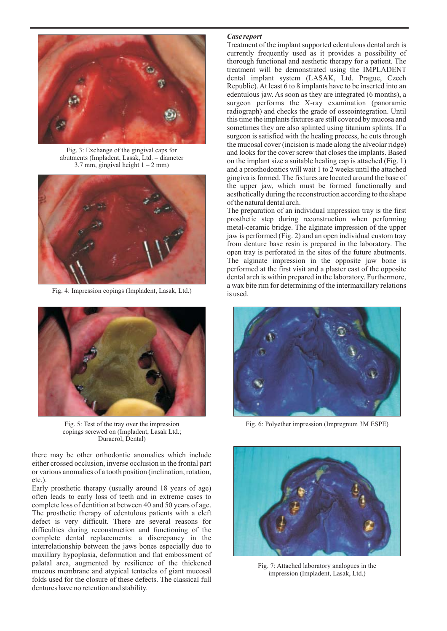

Fig. 3: Exchange of the gingival caps for abutments (Impladent, Lasak, Ltd. – diameter 3.7 mm, gingival height  $1 - 2$  mm)



Fig. 4: Impression copings (Impladent, Lasak, Ltd.)



Fig. 5: Test of the tray over the impression copings screwed on (Impladent, Lasak Ltd.; Duracrol, Dental)

there may be other orthodontic anomalies which include either crossed occlusion, inverse occlusion in the frontal part or various anomalies of a tooth position (inclination, rotation, etc.).

Early prosthetic therapy (usually around 18 years of age) often leads to early loss of teeth and in extreme cases to complete loss of dentition at between 40 and 50 years of age. The prosthetic therapy of edentulous patients with a cleft defect is very difficult. There are several reasons for difficulties during reconstruction and functioning of the complete dental replacements: a discrepancy in the interrelationship between the jaws bones especially due to maxillary hypoplasia, deformation and flat embossment of palatal area, augmented by resilience of the thickened mucous membrane and atypical tentacles of giant mucosal folds used for the closure of these defects. The classical full dentures have no retention and stability.

#### *Case report*

Treatment of the implant supported edentulous dental arch is currently frequently used as it provides a possibility of thorough functional and aesthetic therapy for a patient. The treatment will be demonstrated using the IMPLADENT dental implant system (LASAK, Ltd. Prague, Czech Republic). At least 6 to 8 implants have to be inserted into an edentulous jaw. As soon as they are integrated (6 months), a surgeon performs the X-ray examination (panoramic radiograph) and checks the grade of osseointegration. Until this time the implants fixtures are still covered by mucosa and sometimes they are also splinted using titanium splints. If a surgeon is satisfied with the healing process, he cuts through the mucosal cover (incision is made along the alveolar ridge) and looks for the cover screw that closes the implants. Based on the implant size a suitable healing cap is attached (Fig. 1) and a prosthodontics will wait 1 to 2 weeks until the attached gingiva is formed. The fixtures are located around the base of the upper jaw, which must be formed functionally and aesthetically during the reconstruction according to the shape of the natural dental arch.

The preparation of an individual impression tray is the first prosthetic step during reconstruction when performing metal-ceramic bridge. The alginate impression of the upper jaw is performed (Fig. 2) and an open individual custom tray from denture base resin is prepared in the laboratory. The open tray is perforated in the sites of the future abutments. The alginate impression in the opposite jaw bone is performed at the first visit and a plaster cast of the opposite dental arch is within prepared in the laboratory. Furthermore, a wax bite rim for determining of the intermaxillary relations is used.



Fig. 6: Polyether impression (Impregnum 3M ESPE)



Fig. 7: Attached laboratory analogues in the impression (Impladent, Lasak, Ltd.)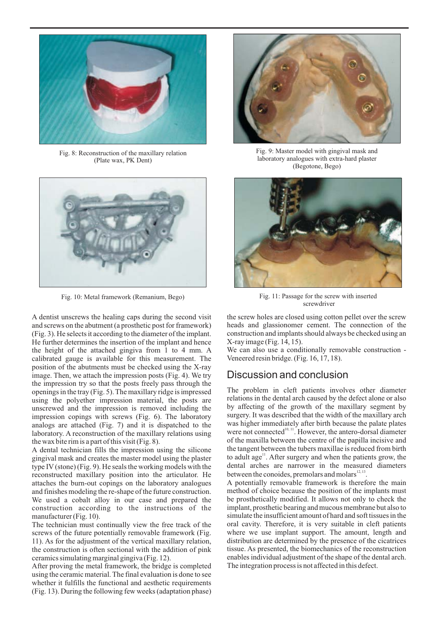

Fig. 8: Reconstruction of the maxillary relation (Plate wax, PK Dent)



A dentist unscrews the healing caps during the second visit and screws on the abutment (a prosthetic post for framework) (Fig. 3). He selects it according to the diameter of the implant. He further determines the insertion of the implant and hence the height of the attached gingiva from 1 to 4 mm. A calibrated gauge is available for this measurement. The position of the abutments must be checked using the X-ray image. Then, we attach the impression posts (Fig. 4). We try the impression try so that the posts freely pass through the openings in the tray (Fig. 5). The maxillary ridge is impressed using the polyether impression material, the posts are unscrewed and the impression is removed including the impression copings with screws (Fig. 6). The laboratory analogs are attached (Fig. 7) and it is dispatched to the laboratory. A reconstruction of the maxillary relations using the wax bite rim is a part of this visit (Fig. 8).

A dental technician fills the impression using the silicone gingival mask and creates the master model using the plaster type IV (stone) (Fig. 9). He seals the working models with the reconstructed maxillary position into the articulator. He attaches the burn-out copings on the laboratory analogues and finishes modeling the re-shape of the future construction. We used a cobalt alloy in our case and prepared the construction according to the instructions of the manufacturer (Fig. 10).

The technician must continually view the free track of the screws of the future potentially removable framework (Fig. 11). As for the adjustment of the vertical maxillary relation, the construction is often sectional with the addition of pink ceramics simulating marginal gingiva (Fig. 12).

After proving the metal framework, the bridge is completed using the ceramic material. The final evaluation is done to see whether it fulfills the functional and aesthetic requirements (Fig. 13). During the following few weeks (adaptation phase)



Fig. 9: Master model with gingival mask and laboratory analogues with extra-hard plaster (Begotone, Bego)



Fig. 10: Metal framework (Remanium, Bego) Fig. 11: Passage for the screw with inserted screwdriver

the screw holes are closed using cotton pellet over the screw heads and glassionomer cement. The connection of the construction and implants should always be checked using an X-ray image (Fig. 14, 15).

We can also use a conditionally removable construction -Veneered resin bridge. (Fig. 16, 17, 18).

### Discussion and conclusion

The problem in cleft patients involves other diameter relations in the dental arch caused by the defect alone or also by affecting of the growth of the maxillary segment by surgery. It was described that the width of the maxillary arch was higher immediately after birth because the palate plates were not connected<sup>10, 11</sup>. However, the antero-dorsal diameter of the maxilla between the centre of the papilla incisive and the tangent between the tubers maxillae is reduced from birth to adult age<sup>11</sup>. After surgery and when the patients grow, the dental arches are narrower in the measured diameters between the conoides, premolars and molars $^{12, 13}$ .

A potentially removable framework is therefore the main method of choice because the position of the implants must be prosthetically modified. It allows not only to check the implant, prosthetic bearing and mucous membrane but also to simulate the insufficient amount of hard and soft tissues in the oral cavity. Therefore, it is very suitable in cleft patients where we use implant support. The amount, length and distribution are determined by the presence of the cicatrices tissue. As presented, the biomechanics of the reconstruction enables individual adjustment of the shape of the dental arch. The integration process is not affected in this defect.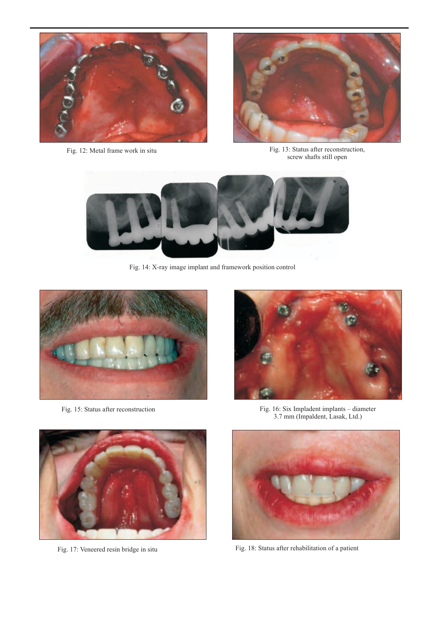

Fig. 12: Metal frame work in situ



Fig. 13: Status after reconstruction, screw shafts still open



Fig. 14: X-ray image implant and framework position control



Fig. 15: Status after reconstruction





Fig. 17: Veneered resin bridge in situ

Fig. 16: Six Impladent implants – diameter 3.7 mm (Impaldent, Lasak, Ltd.)



Fig. 18: Status after rehabilitation of a patient